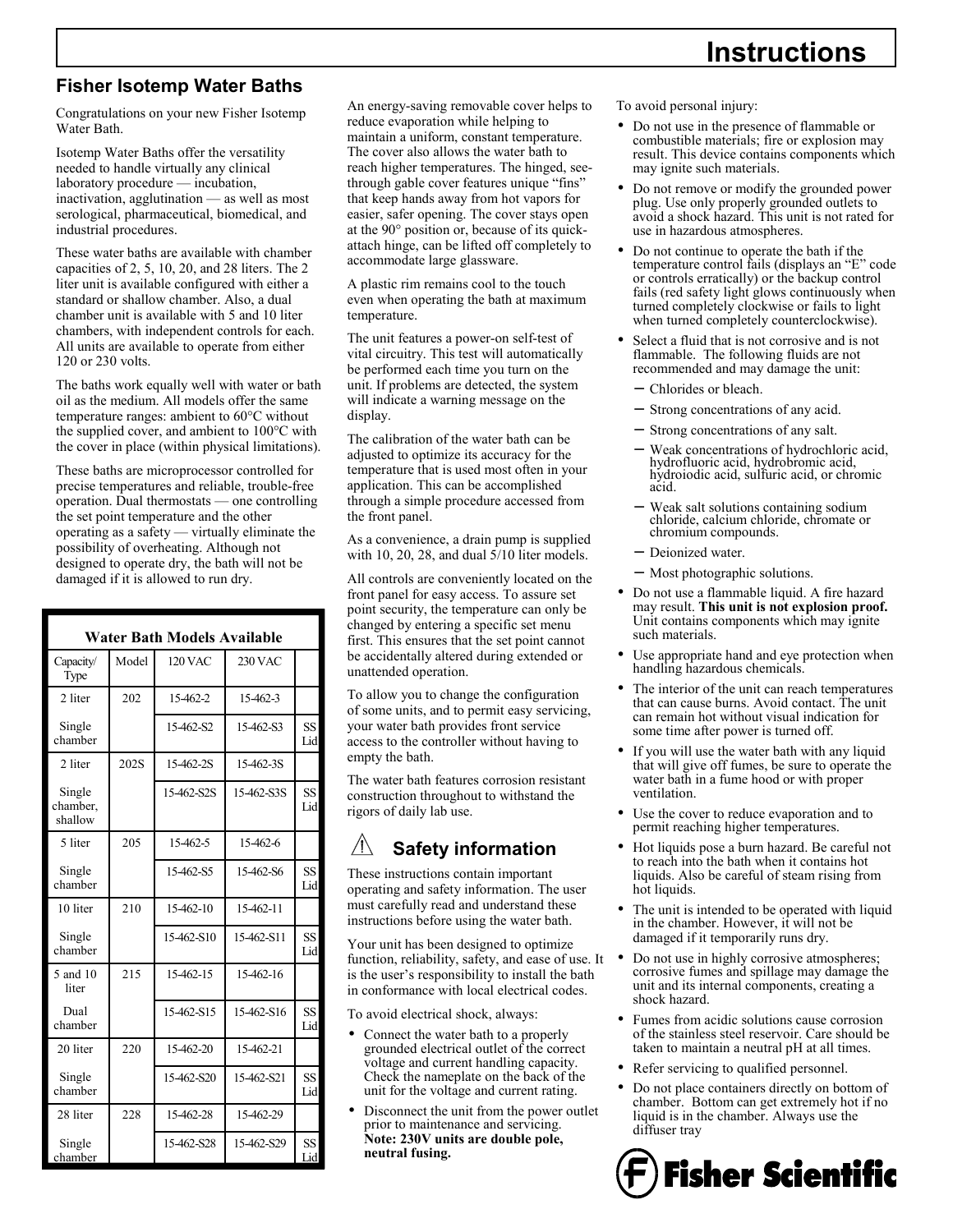# **Instructions**

### **Fisher Isotemp Water Baths**

Congratulations on your new Fisher Isotemp Water Bath.

Isotemp Water Baths offer the versatility needed to handle virtually any clinical laboratory procedure — incubation, inactivation, agglutination — as well as most serological, pharmaceutical, biomedical, and industrial procedures.

These water baths are available with chamber capacities of 2, 5, 10, 20, and 28 liters. The 2 liter unit is available configured with either a standard or shallow chamber. Also, a dual chamber unit is available with 5 and 10 liter chambers, with independent controls for each. All units are available to operate from either 120 or 230 volts.

The baths work equally well with water or bath oil as the medium. All models offer the same temperature ranges: ambient to 60°C without the supplied cover, and ambient to 100°C with the cover in place (within physical limitations).

These baths are microprocessor controlled for precise temperatures and reliable, trouble-free operation. Dual thermostats — one controlling the set point temperature and the other operating as a safety — virtually eliminate the possibility of overheating. Although not designed to operate dry, the bath will not be damaged if it is allowed to run dry.

| <b>Water Bath Models Available</b> |       |                |            |           |  |  |
|------------------------------------|-------|----------------|------------|-----------|--|--|
| Capacity/<br>Type                  | Model | <b>120 VAC</b> | 230 VAC    |           |  |  |
| 2 liter                            | 202   | 15-462-2       | 15-462-3   |           |  |  |
| Single<br>chamber                  |       | 15-462-S2      | 15-462-S3  | SS<br>Lid |  |  |
| 2 liter                            | 202S  | 15-462-2S      | 15-462-3S  |           |  |  |
| Single<br>chamber.<br>shallow      |       | 15-462-S2S     | 15-462-S3S | SS<br>Lid |  |  |
| 5 liter                            | 205   | 15-462-5       | 15-462-6   |           |  |  |
| Single<br>chamber                  |       | 15-462-S5      | 15-462-S6  | SS<br>Lid |  |  |
| 10 liter                           | 210   | 15-462-10      | 15-462-11  |           |  |  |
| Single<br>chamber                  |       | 15-462-S10     | 15-462-S11 | SS<br>Lid |  |  |
| 5 and 10<br>liter                  | 215   | 15-462-15      | 15-462-16  |           |  |  |
| Dual<br>chamber                    |       | 15-462-S15     | 15-462-S16 | SS<br>Lid |  |  |
| 20 liter                           | 220   | 15-462-20      | 15-462-21  |           |  |  |
| Single<br>chamber                  |       | 15-462-S20     | 15-462-S21 | SS<br>Lid |  |  |
| 28 liter                           | 228   | 15-462-28      | 15-462-29  |           |  |  |
| Single<br>chamber                  |       | 15-462-828     | 15-462-S29 | SS<br>Lid |  |  |

An energy-saving removable cover helps to reduce evaporation while helping to maintain a uniform, constant temperature. The cover also allows the water bath to reach higher temperatures. The hinged, seethrough gable cover features unique "fins" that keep hands away from hot vapors for easier, safer opening. The cover stays open at the 90° position or, because of its quickattach hinge, can be lifted off completely to accommodate large glassware.

A plastic rim remains cool to the touch even when operating the bath at maximum temperature.

The unit features a power-on self-test of vital circuitry. This test will automatically be performed each time you turn on the unit. If problems are detected, the system will indicate a warning message on the display.

The calibration of the water bath can be adjusted to optimize its accuracy for the temperature that is used most often in your application. This can be accomplished through a simple procedure accessed from the front panel.

As a convenience, a drain pump is supplied with 10, 20, 28, and dual 5/10 liter models.

All controls are conveniently located on the front panel for easy access. To assure set point security, the temperature can only be changed by entering a specific set menu first. This ensures that the set point cannot be accidentally altered during extended or unattended operation.

To allow you to change the configuration of some units, and to permit easy servicing, your water bath provides front service access to the controller without having to empty the bath.

The water bath features corrosion resistant construction throughout to withstand the rigors of daily lab use.

#### <u>/І\</u> **Safety information**

These instructions contain important operating and safety information. The user must carefully read and understand these instructions before using the water bath.

Your unit has been designed to optimize function, reliability, safety, and ease of use. It • is the user's responsibility to install the bath in conformance with local electrical codes.

To avoid electrical shock, always:

- Connect the water bath to a properly grounded electrical outlet of the correct voltage and current handling capacity. Check the nameplate on the back of the unit for the voltage and current rating.
- Disconnect the unit from the power outlet prior to maintenance and servicing. **Note: 230V units are double pole, neutral fusing.**

To avoid personal injury:

- Do not use in the presence of flammable or combustible materials; fire or explosion may result. This device contains components which may ignite such materials.
- Do not remove or modify the grounded power plug. Use only properly grounded outlets to avoid a shock hazard. This unit is not rated for use in hazardous atmospheres.
- Do not continue to operate the bath if the temperature control fails (displays an "E" code or controls erratically) or the backup control fails (red safety light glows continuously when turned completely clockwise or fails to light when turned completely counterclockwise).
- Select a fluid that is not corrosive and is not flammable. The following fluids are not recommended and may damage the unit:
	- − Chlorides or bleach.
	- Strong concentrations of any acid.
	- Strong concentrations of any salt.
	- Weak concentrations of hydrochloric acid, hydrofluoric acid, hydrobromic acid, hydroiodic acid, sulfuric acid, or chromic acid.
	- − Weak salt solutions containing sodium chloride, calcium chloride, chromate or chromium compounds.
	- − Deionized water.
	- − Most photographic solutions.
- Do not use a flammable liquid. A fire hazard may result. **This unit is not explosion proof.** Unit contains components which may ignite such materials.
- Use appropriate hand and eye protection when handling hazardous chemicals.
- The interior of the unit can reach temperatures that can cause burns. Avoid contact. The unit can remain hot without visual indication for some time after power is turned off.
- If you will use the water bath with any liquid that will give off fumes, be sure to operate the water bath in a fume hood or with proper ventilation.
- Use the cover to reduce evaporation and to permit reaching higher temperatures.
- Hot liquids pose a burn hazard. Be careful not to reach into the bath when it contains hot liquids. Also be careful of steam rising from hot liquids.
- The unit is intended to be operated with liquid in the chamber. However, it will not be damaged if it temporarily runs dry.
- Do not use in highly corrosive atmospheres; corrosive fumes and spillage may damage the unit and its internal components, creating a shock hazard.
- Fumes from acidic solutions cause corrosion of the stainless steel reservoir. Care should be taken to maintain a neutral pH at all times.
- Refer servicing to qualified personnel.
- Do not place containers directly on bottom of chamber. Bottom can get extremely hot if no liquid is in the chamber. Always use the diffuser tray

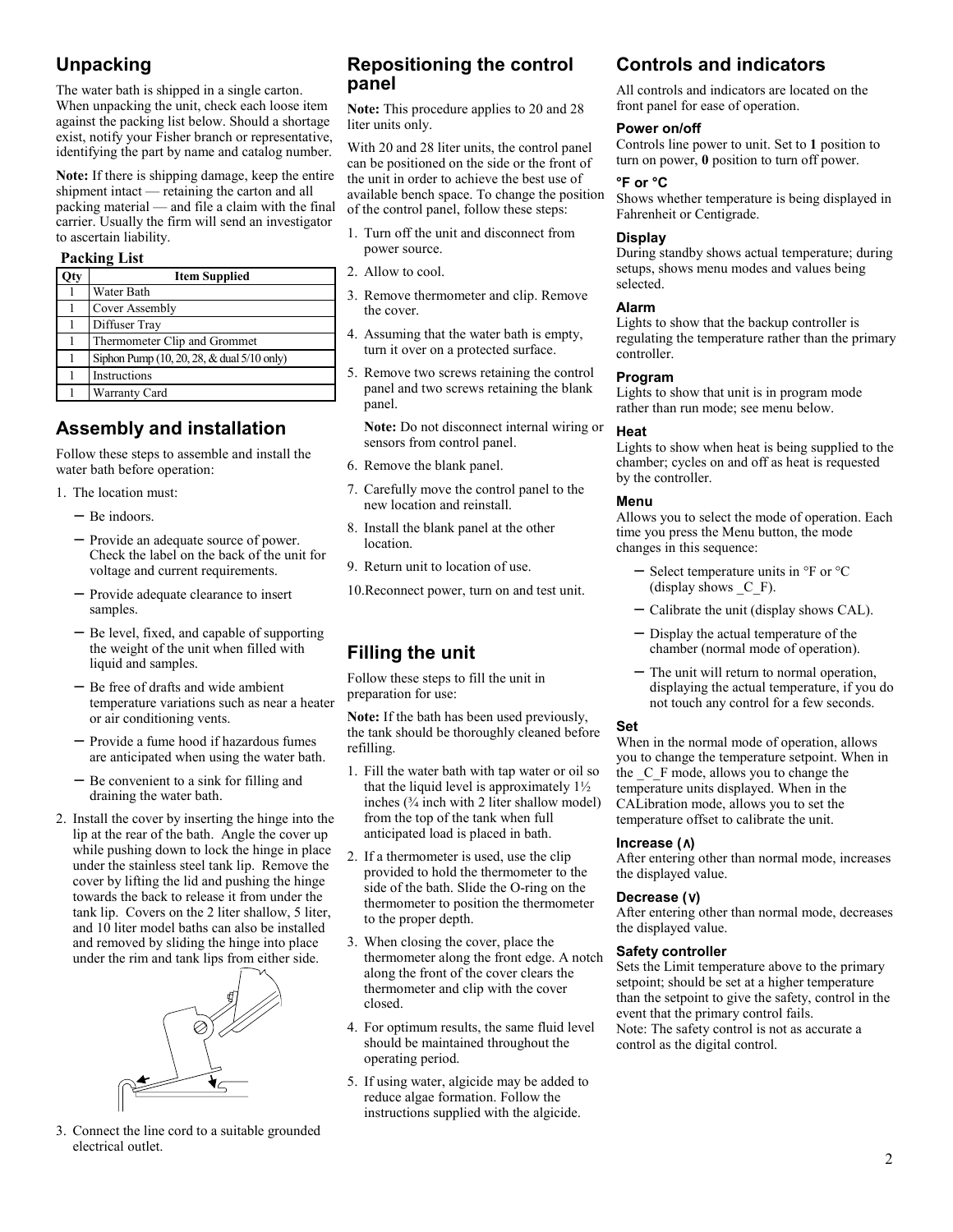## **Unpacking**

The water bath is shipped in a single carton. When unpacking the unit, check each loose item against the packing list below. Should a shortage exist, notify your Fisher branch or representative, identifying the part by name and catalog number.

**Note:** If there is shipping damage, keep the entire shipment intact — retaining the carton and all packing material — and file a claim with the final carrier. Usually the firm will send an investigator to ascertain liability.

#### **Packing List**

| )ty | <b>Item Supplied</b>                       |
|-----|--------------------------------------------|
|     | Water Bath                                 |
|     | Cover Assembly                             |
|     | Diffuser Tray                              |
|     | Thermometer Clip and Grommet               |
|     | Siphon Pump (10, 20, 28, & dual 5/10 only) |
|     | Instructions                               |
|     | Warranty Card                              |

### **Assembly and installation**

Follow these steps to assemble and install the water bath before operation:

- 1. The location must:
	- − Be indoors.
	- − Provide an adequate source of power. Check the label on the back of the unit for voltage and current requirements.
	- − Provide adequate clearance to insert samples.
	- − Be level, fixed, and capable of supporting the weight of the unit when filled with liquid and samples.
	- − Be free of drafts and wide ambient temperature variations such as near a heater or air conditioning vents.
	- − Provide a fume hood if hazardous fumes are anticipated when using the water bath.
	- − Be convenient to a sink for filling and draining the water bath.
- 2. Install the cover by inserting the hinge into the lip at the rear of the bath. Angle the cover up while pushing down to lock the hinge in place under the stainless steel tank lip. Remove the cover by lifting the lid and pushing the hinge towards the back to release it from under the tank lip. Covers on the 2 liter shallow, 5 liter, and 10 liter model baths can also be installed and removed by sliding the hinge into place under the rim and tank lips from either side.



3. Connect the line cord to a suitable grounded electrical outlet.

### **Repositioning the control panel**

**Note:** This procedure applies to 20 and 28 liter units only.

With 20 and 28 liter units, the control panel can be positioned on the side or the front of the unit in order to achieve the best use of available bench space. To change the position of the control panel, follow these steps:

- 1. Turn off the unit and disconnect from power source.
- 2. Allow to cool.
- 3. Remove thermometer and clip. Remove the cover.
- 4. Assuming that the water bath is empty, turn it over on a protected surface.
- 5. Remove two screws retaining the control panel and two screws retaining the blank panel.

**Note:** Do not disconnect internal wiring or sensors from control panel.

- 6. Remove the blank panel.
- 7. Carefully move the control panel to the new location and reinstall.
- 8. Install the blank panel at the other location.
- 9. Return unit to location of use.

10.Reconnect power, turn on and test unit.

# **Filling the unit**

Follow these steps to fill the unit in preparation for use:

**Note:** If the bath has been used previously, the tank should be thoroughly cleaned before refilling.

- 1. Fill the water bath with tap water or oil so that the liquid level is approximately 1½ inches (¾ inch with 2 liter shallow model) from the top of the tank when full anticipated load is placed in bath.
- 2. If a thermometer is used, use the clip provided to hold the thermometer to the side of the bath. Slide the O-ring on the thermometer to position the thermometer to the proper depth.
- 3. When closing the cover, place the thermometer along the front edge. A notch along the front of the cover clears the thermometer and clip with the cover closed.
- 4. For optimum results, the same fluid level should be maintained throughout the operating period.
- 5. If using water, algicide may be added to reduce algae formation. Follow the instructions supplied with the algicide.

### **Controls and indicators**

All controls and indicators are located on the front panel for ease of operation.

#### **Power on/off**

Controls line power to unit. Set to **1** position to turn on power, **0** position to turn off power.

#### **°F or °C**

Shows whether temperature is being displayed in Fahrenheit or Centigrade.

#### **Display**

During standby shows actual temperature; during setups, shows menu modes and values being selected.

#### **Alarm**

Lights to show that the backup controller is regulating the temperature rather than the primary controller.

#### **Program**

Lights to show that unit is in program mode rather than run mode; see menu below.

#### **Heat**

Lights to show when heat is being supplied to the chamber; cycles on and off as heat is requested by the controller.

#### **Menu**

Allows you to select the mode of operation. Each time you press the Menu button, the mode changes in this sequence:

- − Select temperature units in °F or °C (display shows  $C$  F).
- − Calibrate the unit (display shows CAL).
- − Display the actual temperature of the chamber (normal mode of operation).
- The unit will return to normal operation, displaying the actual temperature, if you do not touch any control for a few seconds.

#### **Set**

When in the normal mode of operation, allows you to change the temperature setpoint. When in the  $C$  F mode, allows you to change the temperature units displayed. When in the CALibration mode, allows you to set the temperature offset to calibrate the unit.

#### **Increase (**∧**)**

After entering other than normal mode, increases the displayed value.

#### **Decrease (**∨**)**

After entering other than normal mode, decreases the displayed value.

#### **Safety controller**

Sets the Limit temperature above to the primary setpoint; should be set at a higher temperature than the setpoint to give the safety, control in the event that the primary control fails. Note: The safety control is not as accurate a control as the digital control.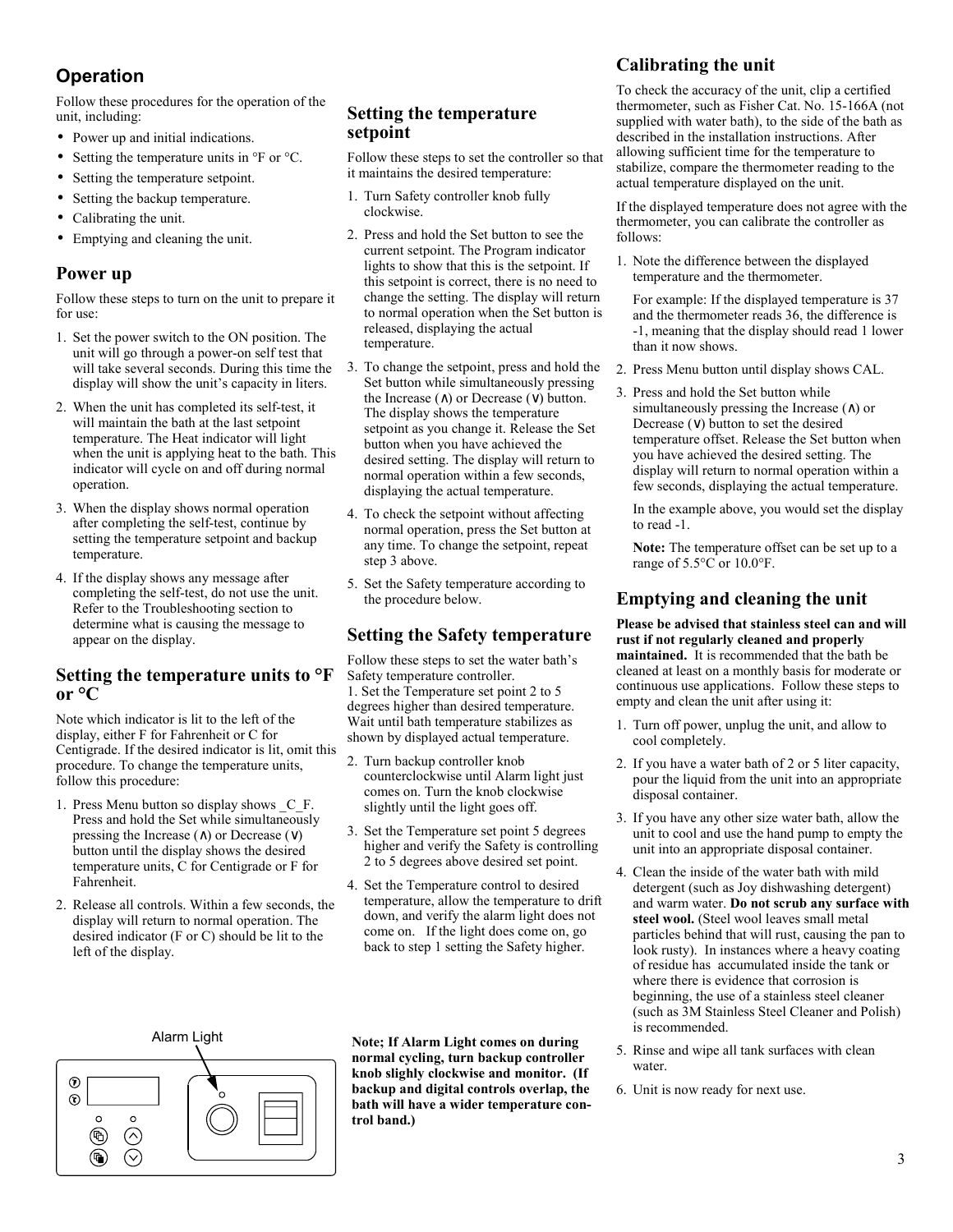# **Operation**

Follow these procedures for the operation of the unit, including:

- Power up and initial indications.
- Setting the temperature units in  $\rm{P}F$  or  $\rm{C}$ .
- Setting the temperature setpoint.
- Setting the backup temperature.
- Calibrating the unit.
- Emptying and cleaning the unit.

### **Power up**

Follow these steps to turn on the unit to prepare it for use:

- 1. Set the power switch to the ON position. The unit will go through a power-on self test that will take several seconds. During this time the display will show the unit's capacity in liters.
- 2. When the unit has completed its self-test, it will maintain the bath at the last setpoint temperature. The Heat indicator will light when the unit is applying heat to the bath. This indicator will cycle on and off during normal operation.
- 3. When the display shows normal operation after completing the self-test, continue by setting the temperature setpoint and backup temperature.
- 4. If the display shows any message after completing the self-test, do not use the unit. Refer to the Troubleshooting section to determine what is causing the message to appear on the display.

#### **Setting the temperature units to °F**   $or °C$

Note which indicator is lit to the left of the display, either F for Fahrenheit or C for Centigrade. If the desired indicator is lit, omit this procedure. To change the temperature units, follow this procedure:

- 1. Press Menu button so display shows  $C$  F. Press and hold the Set while simultaneously pressing the Increase (∧) or Decrease (∨) button until the display shows the desired temperature units, C for Centigrade or F for Fahrenheit.
- 2. Release all controls. Within a few seconds, the display will return to normal operation. The desired indicator (F or C) should be lit to the left of the display.

### **Setting the temperature setpoint**

Follow these steps to set the controller so that it maintains the desired temperature:

- 1. Turn Safety controller knob fully clockwise.
- 2. Press and hold the Set button to see the current setpoint. The Program indicator lights to show that this is the setpoint. If this setpoint is correct, there is no need to change the setting. The display will return to normal operation when the Set button is released, displaying the actual temperature.
- 3. To change the setpoint, press and hold the Set button while simultaneously pressing the Increase ( $\land$ ) or Decrease ( $\lor$ ) button. The display shows the temperature setpoint as you change it. Release the Set button when you have achieved the desired setting. The display will return to normal operation within a few seconds, displaying the actual temperature.
- 4. To check the setpoint without affecting normal operation, press the Set button at any time. To change the setpoint, repeat step 3 above.
- 5. Set the Safety temperature according to the procedure below.

### **Setting the Safety temperature**

Follow these steps to set the water bath's Safety temperature controller. 1. Set the Temperature set point 2 to 5 degrees higher than desired temperature. Wait until bath temperature stabilizes as shown by displayed actual temperature.

- 2. Turn backup controller knob counterclockwise until Alarm light just comes on. Turn the knob clockwise slightly until the light goes off.
- 3. Set the Temperature set point 5 degrees higher and verify the Safety is controlling 2 to 5 degrees above desired set point.
- 4. Set the Temperature control to desired temperature, allow the temperature to drift down, and verify the alarm light does not come on. If the light does come on, go back to step 1 setting the Safety higher.

#### Alarm Light  $^{\circ}$ o  $\odot$  $\circ$  $\circ$ 唵

**Note; If Alarm Light comes on during normal cycling, turn backup controller knob slighly clockwise and monitor. (If backup and digital controls overlap, the bath will have a wider temperature control band.)** 

### **Calibrating the unit**

To check the accuracy of the unit, clip a certified thermometer, such as Fisher Cat. No. 15-166A (not supplied with water bath), to the side of the bath as described in the installation instructions. After allowing sufficient time for the temperature to stabilize, compare the thermometer reading to the actual temperature displayed on the unit.

If the displayed temperature does not agree with the thermometer, you can calibrate the controller as follows:

1. Note the difference between the displayed temperature and the thermometer.

For example: If the displayed temperature is 37 and the thermometer reads 36, the difference is -1, meaning that the display should read 1 lower than it now shows.

- 2. Press Menu button until display shows CAL.
- 3. Press and hold the Set button while simultaneously pressing the Increase  $($  $\land)$  or Decrease (∨) button to set the desired temperature offset. Release the Set button when you have achieved the desired setting. The display will return to normal operation within a few seconds, displaying the actual temperature.

In the example above, you would set the display to read -1.

**Note:** The temperature offset can be set up to a range of 5.5°C or 10.0°F.

### **Emptying and cleaning the unit**

**Please be advised that stainless steel can and will rust if not regularly cleaned and properly maintained.** It is recommended that the bath be cleaned at least on a monthly basis for moderate or continuous use applications. Follow these steps to empty and clean the unit after using it:

- 1. Turn off power, unplug the unit, and allow to cool completely.
- 2. If you have a water bath of 2 or 5 liter capacity, pour the liquid from the unit into an appropriate disposal container.
- 3. If you have any other size water bath, allow the unit to cool and use the hand pump to empty the unit into an appropriate disposal container.
- 4. Clean the inside of the water bath with mild detergent (such as Joy dishwashing detergent) and warm water. **Do not scrub any surface with steel wool.** (Steel wool leaves small metal particles behind that will rust, causing the pan to look rusty). In instances where a heavy coating of residue has accumulated inside the tank or where there is evidence that corrosion is beginning, the use of a stainless steel cleaner (such as 3M Stainless Steel Cleaner and Polish) is recommended.
- 5. Rinse and wipe all tank surfaces with clean water
- 6. Unit is now ready for next use.